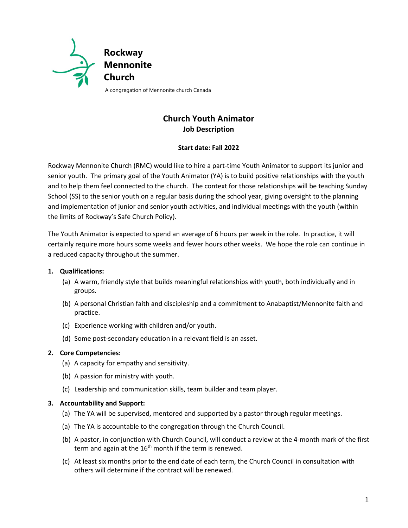

# **Church Youth Animator Job Description**

### **Start date: Fall 2022**

Rockway Mennonite Church (RMC) would like to hire a part-time Youth Animator to support its junior and senior youth. The primary goal of the Youth Animator (YA) is to build positive relationships with the youth and to help them feel connected to the church. The context for those relationships will be teaching Sunday School (SS) to the senior youth on a regular basis during the school year, giving oversight to the planning and implementation of junior and senior youth activities, and individual meetings with the youth (within the limits of Rockway's Safe Church Policy).

The Youth Animator is expected to spend an average of 6 hours per week in the role. In practice, it will certainly require more hours some weeks and fewer hours other weeks. We hope the role can continue in a reduced capacity throughout the summer.

## **1. Qualifications:**

- (a) A warm, friendly style that builds meaningful relationships with youth, both individually and in groups.
- (b) A personal Christian faith and discipleship and a commitment to Anabaptist/Mennonite faith and practice.
- (c) Experience working with children and/or youth.
- (d) Some post-secondary education in a relevant field is an asset.

#### **2. Core Competencies:**

- (a) A capacity for empathy and sensitivity.
- (b) A passion for ministry with youth.
- (c) Leadership and communication skills, team builder and team player.

#### **3. Accountability and Support:**

- (a) The YA will be supervised, mentored and supported by a pastor through regular meetings.
- (a) The YA is accountable to the congregation through the Church Council.
- (b) A pastor, in conjunction with Church Council, will conduct a review at the 4-month mark of the first term and again at the  $16<sup>th</sup>$  month if the term is renewed.
- (c) At least six months prior to the end date of each term, the Church Council in consultation with others will determine if the contract will be renewed.